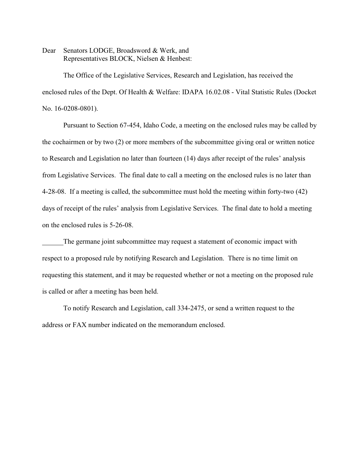Dear Senators LODGE, Broadsword & Werk, and Representatives BLOCK, Nielsen & Henbest:

The Office of the Legislative Services, Research and Legislation, has received the enclosed rules of the Dept. Of Health & Welfare: IDAPA 16.02.08 - Vital Statistic Rules (Docket No. 16-0208-0801).

Pursuant to Section 67-454, Idaho Code, a meeting on the enclosed rules may be called by the cochairmen or by two (2) or more members of the subcommittee giving oral or written notice to Research and Legislation no later than fourteen (14) days after receipt of the rules' analysis from Legislative Services. The final date to call a meeting on the enclosed rules is no later than 4-28-08. If a meeting is called, the subcommittee must hold the meeting within forty-two (42) days of receipt of the rules' analysis from Legislative Services. The final date to hold a meeting on the enclosed rules is 5-26-08.

The germane joint subcommittee may request a statement of economic impact with respect to a proposed rule by notifying Research and Legislation. There is no time limit on requesting this statement, and it may be requested whether or not a meeting on the proposed rule is called or after a meeting has been held.

To notify Research and Legislation, call 334-2475, or send a written request to the address or FAX number indicated on the memorandum enclosed.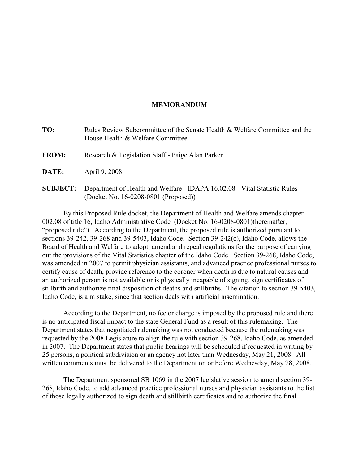# **MEMORANDUM**

**TO:** Rules Review Subcommittee of the Senate Health & Welfare Committee and the House Health & Welfare Committee **FROM:** Research & Legislation Staff - Paige Alan Parker **DATE:** April 9, 2008

**SUBJECT:** Department of Health and Welfare - IDAPA 16.02.08 - Vital Statistic Rules (Docket No. 16-0208-0801 (Proposed))

By this Proposed Rule docket, the Department of Health and Welfare amends chapter 002.08 of title 16, Idaho Administrative Code (Docket No. 16-0208-0801)(hereinafter, "proposed rule"). According to the Department, the proposed rule is authorized pursuant to sections 39-242, 39-268 and 39-5403, Idaho Code. Section 39-242(c), Idaho Code, allows the Board of Health and Welfare to adopt, amend and repeal regulations for the purpose of carrying out the provisions of the Vital Statistics chapter of the Idaho Code. Section 39-268, Idaho Code, was amended in 2007 to permit physician assistants, and advanced practice professional nurses to certify cause of death, provide reference to the coroner when death is due to natural causes and an authorized person is not available or is physically incapable of signing, sign certificates of stillbirth and authorize final disposition of deaths and stillbirths. The citation to section 39-5403, Idaho Code, is a mistake, since that section deals with artificial insemination.

According to the Department, no fee or charge is imposed by the proposed rule and there is no anticipated fiscal impact to the state General Fund as a result of this rulemaking. The Department states that negotiated rulemaking was not conducted because the rulemaking was requested by the 2008 Legislature to align the rule with section 39-268, Idaho Code, as amended in 2007. The Department states that public hearings will be scheduled if requested in writing by 25 persons, a political subdivision or an agency not later than Wednesday, May 21, 2008. All written comments must be delivered to the Department on or before Wednesday, May 28, 2008.

The Department sponsored SB 1069 in the 2007 legislative session to amend section 39- 268, Idaho Code, to add advanced practice professional nurses and physician assistants to the list of those legally authorized to sign death and stillbirth certificates and to authorize the final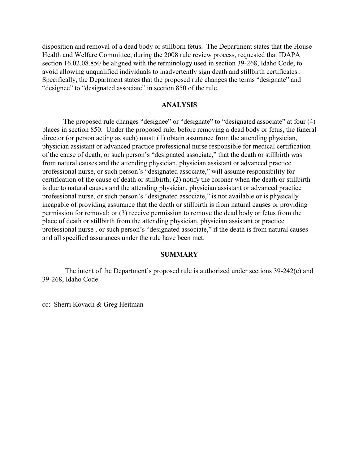disposition and removal of a dead body or stillborn fetus. The Department states that the House Health and Welfare Committee, during the 2008 rule review process, requested that IDAPA section 16.02.08.850 be aligned with the terminology used in section 39-268, Idaho Code, to avoid allowing unqualified individuals to inadvertently sign death and stillbirth certificates.. Specifically, the Department states that the proposed rule changes the terms "designate" and "designee" to "designated associate" in section 850 of the rule.

# **ANALYSIS**

The proposed rule changes "designee" or "designate" to "designated associate" at four (4) places in section 850. Under the proposed rule, before removing a dead body or fetus, the funeral director (or person acting as such) must: (1) obtain assurance from the attending physician, physician assistant or advanced practice professional nurse responsible for medical certification of the cause of death, or such person's "designated associate," that the death or stillbirth was from natural causes and the attending physician, physician assistant or advanced practice professional nurse, or such person's "designated associate," will assume responsibility for certification of the cause of death or stillbirth; (2) notify the coroner when the death or stillbirth is due to natural causes and the attending physician, physician assistant or advanced practice professional nurse, or such person's "designated associate," is not available or is physically incapable of providing assurance that the death or stillbirth is from natural causes or providing permission for removal; or (3) receive permission to remove the dead body or fetus from the place of death or stillbirth from the attending physician, physician assistant or practice professional nurse , or such person's "designated associate," if the death is from natural causes and all specified assurances under the rule have been met.

# **SUMMARY**

 The intent of the Department's proposed rule is authorized under sections 39-242(c) and 39-268, Idaho Code

cc: Sherri Kovach & Greg Heitman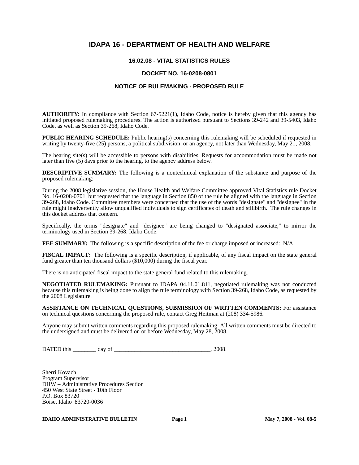# **IDAPA 16 - DEPARTMENT OF HEALTH AND WELFARE**

# **16.02.08 - VITAL STATISTICS RULES**

# **DOCKET NO. 16-0208-0801**

#### **NOTICE OF RULEMAKING - PROPOSED RULE**

**AUTHORITY:** In compliance with Section 67-5221(1), Idaho Code, notice is hereby given that this agency has initiated proposed rulemaking procedures. The action is authorized pursuant to Sections 39-242 and 39-5403, Idaho Code, as well as Section 39-268, Idaho Code.

**PUBLIC HEARING SCHEDULE:** Public hearing(s) concerning this rulemaking will be scheduled if requested in writing by twenty-five (25) persons, a political subdivision, or an agency, not later than Wednesday, May 21, 2008.

The hearing site(s) will be accessible to persons with disabilities. Requests for accommodation must be made not later than five (5) days prior to the hearing, to the agency address below.

**DESCRIPTIVE SUMMARY:** The following is a nontechnical explanation of the substance and purpose of the proposed rulemaking:

During the 2008 legislative session, the House Health and Welfare Committee approved Vital Statistics rule Docket No. 16-0208-0701, but requested that the language in Section 850 of the rule be aligned with the language in Section 39-268, Idaho Code. Committee members were concerned that the use of the words "designate" and "designee" in the rule might inadvertently allow unqualified individuals to sign certificates of death and stillbirth. The rule changes in this docket address that concern.

Specifically, the terms "designate" and "designee" are being changed to "designated associate," to mirror the terminology used in Section 39-268, Idaho Code.

**FEE SUMMARY:** The following is a specific description of the fee or charge imposed or increased: N/A

**FISCAL IMPACT:** The following is a specific description, if applicable, of any fiscal impact on the state general fund greater than ten thousand dollars (\$10,000) during the fiscal year.

There is no anticipated fiscal impact to the state general fund related to this rulemaking.

**NEGOTIATED RULEMAKING:** Pursuant to IDAPA 04.11.01.811, negotiated rulemaking was not conducted because this rulemaking is being done to align the rule terminology with Section 39-268, Idaho Code, as requested by the 2008 Legislature.

**ASSISTANCE ON TECHNICAL QUESTIONS, SUBMISSION OF WRITTEN COMMENTS:** For assistance on technical questions concerning the proposed rule, contact Greg Heitman at (208) 334-5986*.*

Anyone may submit written comments regarding this proposed rulemaking. All written comments must be directed to the undersigned and must be delivered on or before Wednesday, May 28, 2008.

DATED this \_\_\_\_\_\_\_\_ day of \_\_\_\_\_\_\_\_\_\_\_\_\_\_\_\_\_\_\_\_\_\_\_\_\_\_\_\_\_\_\_\_\_, 2008.

Sherri Kovach Program Supervisor DHW – Administrative Procedures Section 450 West State Street - 10th Floor P.O. Box 83720 Boise, Idaho 83720-0036

**IDAHO ADMINISTRATIVE BULLETIN** Page 1 May 7, 2008 - Vol. 08-5